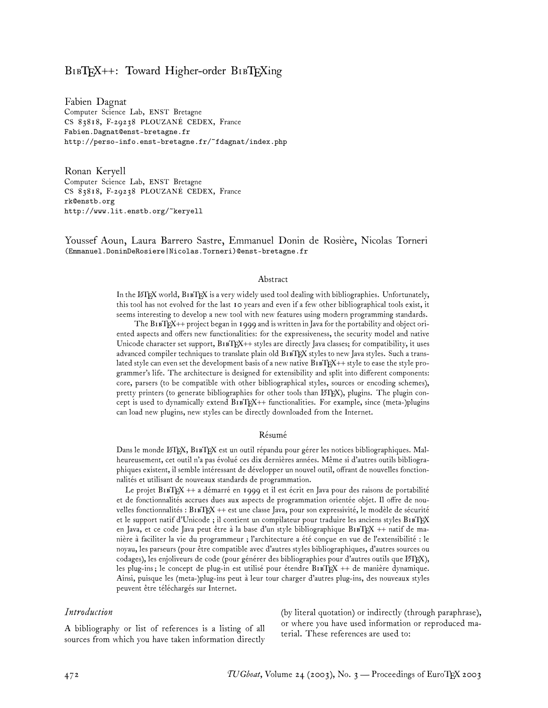# $BIBT<sub>F</sub>X++$ : Toward Higher-order  $BIBT<sub>F</sub>Xing$

Fabien Dagnat Computer Science Lab, ENST Bretagne CS 83818, F-29238 PLOUZANÉ CEDEX, France Fabien.Dagnat@enst-bretagne.fr http://perso-info.enst-bretagne.fr/~fdagnat/index.php

Ronan Keryell Computer Science Lab, ENST Bretagne CS 83818, F-29238 PLOUZANÉ CEDEX, France rk@enstb.org http://www.lit.enstb.org/~keryell

Youssef Aoun, Laura Barrero Sastre, Emmanuel Donin de Rosière, Nicolas Torneri (Emmanuel.DoninDeRosiere|Nicolas.Torneri)@enst-bretagne.fr

#### Abstract

In the LATEX world, BTEX is a very widely used tool dealing with bibliographies. Unfortunately, this tool has not evolved for the last 10 years and even if a few other bibliographical tools exist, it seems interesting to develop a new tool with new features using modern programming standards.

The BIBTEX++ project began in 1999 and is written in Java for the portability and object oriented aspects and offers new functionalities: for the expressiveness, the security model and native Unicode character set support,  $B1BT^+ +$  styles are directly Java classes; for compatibility, it uses advanced compiler techniques to translate plain old B1BTFX styles to new Java styles. Such a translated style can even set the development basis of a new native B1BTEX++ style to ease the style programmer's life. The architecture is designed for extensibility and split into different components: core, parsers (to be compatible with other bibliographical styles, sources or encoding schemes), pretty printers (to generate bibliographies for other tools than ETEX), plugins. The plugin concept is used to dynamically extend B1BTEX++ functionalities. For example, since (meta-)plugins can load new plugins, new styles can be directly downloaded from the Internet.

#### Résumé

Dans le monde LATEX, BTEX est un outil répandu pour gérer les notices bibliographiques. Malheureusement, cet outil n'a pas évolué ces dix dernières années. Même si d'autres outils bibliographiques existent, il semble intéressant de développer un nouvel outil, offrant de nouvelles fonctionnalités et utilisant de nouveaux standards de programmation.

Le projet BIBTEX ++ a démarré en 1999 et il est écrit en Java pour des raisons de portabilité et de fonctionnalités accrues dues aux aspects de programmation orientée objet. Il offre de nouvelles fonctionnalités : B1BTEX ++ est une classe Java, pour son expressivité, le modèle de sécurité et le support natif d'Unicode ; il contient un compilateur pour traduire les anciens styles BIBTEX en Java, et ce code Java peut être à la base d'un style bibliographique B1BTEX ++ natif de manière à faciliter la vie du programmeur ; l'architecture a été conçue en vue de l'extensibilité : le noyau, les parseurs (pour être compatible avec d'autres styles bibliographiques, d'autres sources ou codages), les enjoliveurs de code (pour générer des bibliographies pour d'autres outils que LATEX), les plug-ins; le concept de plug-in est utilisé pour étendre BIBTEX ++ de manière dynamique. Ainsi, puisque les (meta-)plug-ins peut à leur tour charger d'autres plug-ins, des nouveaux styles peuvent être téléchargés sur Internet.

#### *Introduction*

A bibliography or list of references is a listing of all sources from which you have taken information directly

(by literal quotation) or indirectly (through paraphrase), or where you have used information or reproduced material. These references are used to: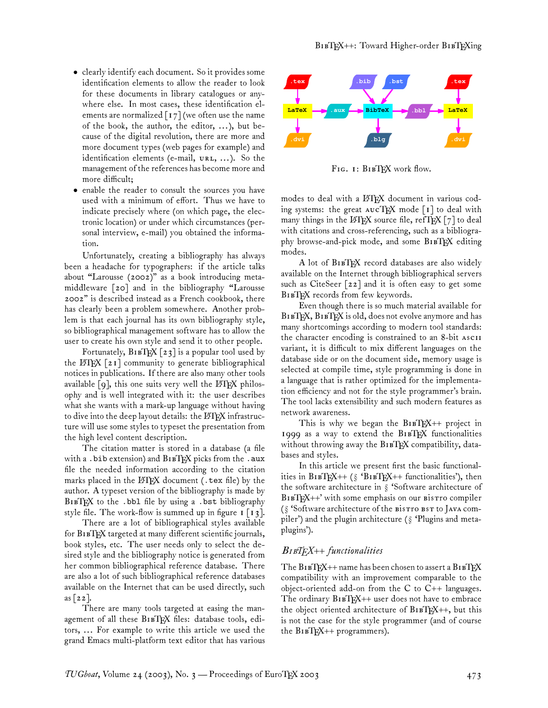- clearly identify each document. So it provides some identification elements to allow the reader to look for these documents in library catalogues or anywhere else. In most cases, these identification elements are normalized  $\lceil 17 \rceil$  (we often use the name of the book, the author, the editor, ... ), but because of the digital revolution, there are more and more document types (web pages for example) and identification elements (e-mail,  $\nu$ RL, ...). So the management of the references has become more and more difficult;
- enable the reader to consult the sources you have used with a minimum of effort. Thus we have to indicate precisely where (on which page, the electronic location) or under which circumstances (personal interview, e-mail) you obtained the information.

Unfortunately, creating a bibliography has always been a headache for typographers: if the article talks about "Larousse (2002)" as a book introducing metamiddleware [20] and in the bibliography "Larousse 2002" is described instead as a French cookbook, there has clearly been a problem somewhere. Another problem is that each journal has its own bibliography style, so bibliographical management software has to allow the user to create his own style and send it to other people.

Fortunately,  $BIBT_{X} [23]$  is a popular tool used by the  $\Delta F[X \mid 21]$  community to generate bibliographical notices in publications. If there are also many other tools available  $[q]$ , this one suits very well the LATEX philosophy and is well integrated with it: the user describes what she wants with a mark-up language without having to dive into the deep layout details: the  $\rm \mathbb{F} \rm F \rm \mathbb{F} \rm F \rm \mathbb{F}$  infrastructure will use some styles to typeset the presentation from the high level content description.

The citation matter is stored in a database (a file with a . bib extension) and  $BIBTFX$  picks from the . aux file the needed information according to the citation marks placed in the  $\LaTeX$  document (.tex file) by the author. A typeset version of the bibliography is made by BIBTEX to the .bbl file by using a .bst bibliography style file. The work-flow is summed up in figure  $I[\![13]\!]$ .

There are a lot of bibliographical styles available for B1BTEX targeted at many different scientific journals, book styles, etc. The user needs only to select the desired style and the bibliography notice is generated from her common bibliographical reference database. There are also a lot of such bibliographical reference databases available on the Internet that can be used directly, such as  $\lceil 22 \rceil$ .

There are many tools targeted at easing the management of all these BIBTEX files: database tools, editors, ... For example to write this article we used the grand Emacs multi-platform text editor that has various



FIG. 1: BIBTEX work flow.

modes to deal with a LATEX document in various coding systems: the great  $AUCT$ <sub>EX</sub> mode [1] to deal with many things in the  $\mathbb{F}E[X]$  source file, refTEX  $[7]$  to deal with citations and cross-referencing, such as a bibliography browse-and-pick mode, and some BIBTEX editing modes.

A lot of BIBTEX record databases are also widely available on the Internet through bibliographical servers such as CiteSeer [22] and it is often easy to get some BIBTEX records from few keywords.

Even though there is so much material available for BIBTEX, BIBTEX is old, does not evolve anymore and has many shortcomings according to modern tool standards: the character encoding is constrained to an 8-bit variant, it is difficult to mix different languages on the database side or on the document side, memory usage is selected at compile time, style programming is done in a language that is rather optimized for the implementation efficiency and not for the style programmer's brain. The tool lacks extensibility and such modern features as network awareness.

This is why we began the  $B1BT_{F}X++$  project in 1999 as a way to extend the  $B1BTKX$  functionalities without throwing away the B1BTFX compatibility, databases and styles.

In this article we present first the basic functionalities in  $B1BTEX++$  (§ 'B1BTEX++ functionalities'), then the software architecture in § 'Software architecture of  $B1BTRX++'$  with some emphasis on our  $B1BTRX++'$ ( $\S$  'Software architecture of the Bistro BST to JAVA compiler') and the plugin architecture (§ 'Plugins and metaplugins').

# B*TEX++ functionalities*

The  $\operatorname{BirTF\!X}{\rm ++}$  name has been chosen to assert a  $\operatorname{BirTF\!X}$ compatibility with an improvement comparable to the object-oriented add-on from the  $C$  to  $C++$  languages. The ordinary  $B1BT_{X++}$  user does not have to embrace the object oriented architecture of  $B1BT_X^+$ , but this is not the case for the style programmer (and of course the  $B1BTRX++$  programmers).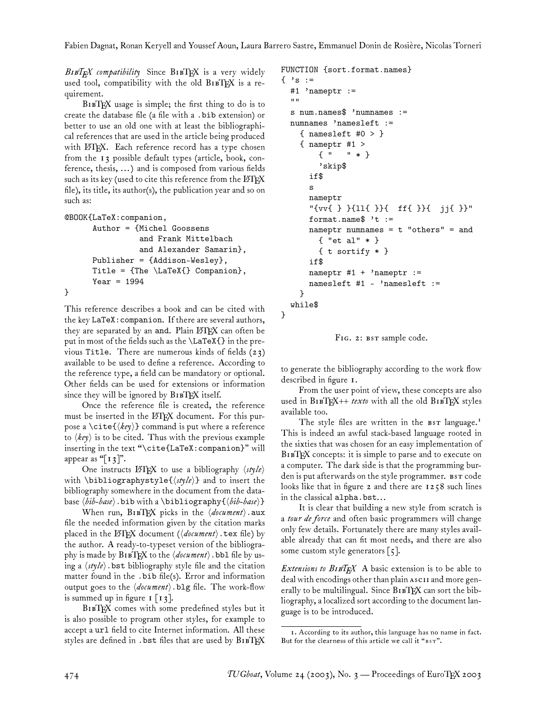}

BIBT<sub>E</sub>X compatibility Since BIBTEX is a very widely used tool, compatibility with the old BIBTEX is a requirement.

 $B1BTRX$  usage is simple; the first thing to do is to create the database file (a file with a .bib extension) or better to use an old one with at least the bibliographical references that are used in the article being produced with LATEX. Each reference record has a type chosen from the 13 possible default types (article, book, conference, thesis, ... ) and is composed from various fields such as its key (used to cite this reference from the LATEX file), its title, its author(s), the publication year and so on such as:

```
@BOOK{LaTeX:companion,
      Author = {Michel Goossens
                 and Frank Mittelbach
                 and Alexander Samarin},
      Publisher = {Addison-Wesley},
      Title = {The \Lambda}{\normalsize} Companion},
      Year = 1994}
```
This reference describes a book and can be cited with the key LaTeX:companion. If there are several authors, they are separated by an and. Plain LATEX can often be put in most of the fields such as the \LaTeX{} in the previous Title. There are numerous kinds of fields (23) available to be used to define a reference. According to the reference type, a field can be mandatory or optional. Other fields can be used for extensions or information since they will be ignored by  $B1BTRX$  itself.

Once the reference file is created, the reference must be inserted in the LAT<sub>E</sub>X document. For this purpose a  $\text{cite}(\text{key})$  command is put where a reference to  $\langle \textit{key} \rangle$  is to be cited. Thus with the previous example inserting in the text "\cite{LaTeX:companion}" will appear as " $[I3]$ ".

One instructs  $\Delta E[X]$  to use a bibliography  $\langle$ style $\rangle$ with \bibliographystyle{ $\langle style\rangle$ } and to insert the bibliography somewhere in the document from the database  $\langle bib\text{-}base\rangle$ .bib with a \bibliography {\\dib-base}}

When run,  $BIBT$ <sub>F</sub>X picks in the  $\langle document \rangle$ .aux file the needed information given by the citation marks placed in the L<sup>AT</sup>EX document ( $\langle$  *document*). tex file) by the author. A ready-to-typeset version of the bibliography is made by  $B$ 1BTEX to the  $\langle \text{document} \rangle$ . bbl file by using a  $\langle$ *style* $\rangle$ . bst bibliography style file and the citation matter found in the .bib file(s). Error and information output goes to the  $\langle$  *document* $\rangle$ . blg file. The work-flow is summed up in figure  $I[\begin{bmatrix}1\\3\end{bmatrix}]$ .

BIBTEX comes with some predefined styles but it is also possible to program other styles, for example to accept a url field to cite Internet information. All these styles are defined in . bst files that are used by BIBTEX FUNCTION {sort.format.names}

```
\{\ \'s :=
 #1 'nameptr :=
 ^{\rm{III}}s num.names$ 'numnames :=
 numnames 'namesleft :=
    { namesleft #0 > }
    { nameptr #1 >
        { " " * }
        'skip$
      if$
      s
      nameptr
      "{vv{ } }{ll{ }}{ ff{ }}{ jj{ }}"
      format.name$ 't :=
      nameptr numnames = t "others" = and
        { "et al" * }
        { t sortify * }
      if$
      nameptr #1 + 'nameptr :=
      namesleft #1 - 'namesleft :=
   }
 while$
```
FIG. 2: BST sample code.

to generate the bibliography according to the work flow described in figure 1.

From the user point of view, these concepts are also used in B1BTEX++ *texto* with all the old B1BTEX styles available too.

The style files are written in the BST language.<sup>1</sup> This is indeed an awful stack-based language rooted in the sixties that was chosen for an easy implementation of BIBTEX concepts: it is simple to parse and to execute on a computer. The dark side is that the programming burden is put afterwards on the style programmer. BST code looks like that in figure 2 and there are 1258 such lines in the classical alpha.bst...

It is clear that building a new style from scratch is a *tour de force* and often basic programmers will change only few details. Fortunately there are many styles available already that can fit most needs, and there are also some custom style generators  $\lceil 5 \rceil$ .

*Extensions to* B*TEX* A basic extension is to be able to deal with encodings other than plain ASCII and more generally to be multilingual. Since  $B1BT_{E}X$  can sort the bibliography, a localized sort according to the document language is to be introduced.

<sup>1.</sup> According to its author, this language has no name in fact. But for the clearness of this article we call it "BST".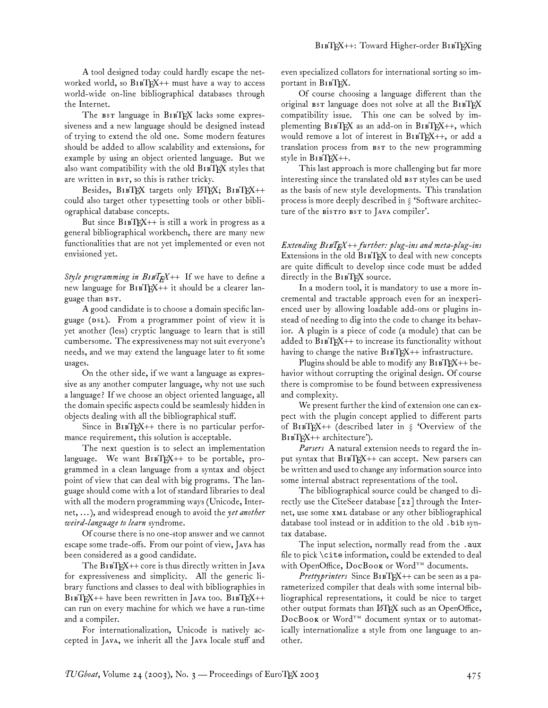A tool designed today could hardly escape the networked world, so B1BTEX++ must have a way to access world-wide on-line bibliographical databases through the Internet.

The  $s$ r language in  $B_1$   $F_X$  lacks some expressiveness and a new language should be designed instead of trying to extend the old one. Some modern features should be added to allow scalability and extensions, for example by using an object oriented language. But we also want compatibility with the old BIBTEX styles that are written in BST, so this is rather tricky.

Besides,  $B1BTRX$  targets only  $BTRX$ ;  $B1BTRX++$ could also target other typesetting tools or other bibliographical database concepts.

But since  $B1BTRX++$  is still a work in progress as a general bibliographical workbench, there are many new functionalities that are not yet implemented or even not envisioned yet.

*Style programming in BIBT<sub>F</sub>X++* If we have to define a new language for  $B1BTRX++$  it should be a clearer language than BST.

A good candidate is to choose a domain specific language (DSL). From a programmer point of view it is yet another (less) cryptic language to learn that is still cumbersome. The expressiveness may not suit everyone's needs, and we may extend the language later to fit some usages.

On the other side, if we want a language as expressive as any another computer language, why not use such a language? If we choose an object oriented language, all the domain specific aspects could be seamlessly hidden in objects dealing with all the bibliographical stuff.

Since in  $B1BTRX++$  there is no particular performance requirement, this solution is acceptable.

The next question is to select an implementation language. We want  $B1BTRX++$  to be portable, programmed in a clean language from a syntax and object point of view that can deal with big programs. The language should come with a lot of standard libraries to deal with all the modern programming ways (Unicode, Internet, ... ), and widespread enough to avoid the *yet another weird-language to learn* syndrome.

Of course there is no one-stop answer and we cannot escape some trade-offs. From our point of view, Java has been considered as a good candidate.

The  $B1BTRX++$  core is thus directly written in Java for expressiveness and simplicity. All the generic library functions and classes to deal with bibliographies in  $BIBT_FX++$  have been rewritten in Java too.  $BIBT_FX++$ can run on every machine for which we have a run-time and a compiler.

For internationalization, Unicode is natively accepted in JAVA, we inherit all the JAVA locale stuff and even specialized collators for international sorting so important in BIBTEX.

Of course choosing a language different than the original BST language does not solve at all the BIBTEX compatibility issue. This one can be solved by implementing  $B_1$   $B_1$  $E_2$  as an add-on in  $B_1$  $B_1$  $E_2$  $E_3$ ++, which would remove a lot of interest in B1BTEX++, or add a translation process from BST to the new programming style in BIBTEX++.

This last approach is more challenging but far more interesting since the translated old BST styles can be used as the basis of new style developments. This translation process is more deeply described in § 'Software architecture of the Bistro BST to JAVA compiler'.

*Extending* B*TEX++ further: plug-ins and meta-plug-ins* Extensions in the old BIBTEX to deal with new concepts are quite difficult to develop since code must be added directly in the BIBTEX source.

In a modern tool, it is mandatory to use a more incremental and tractable approach even for an inexperienced user by allowing loadable add-ons or plugins instead of needing to dig into the code to change its behavior. A plugin is a piece of code (a module) that can be added to  $B1BTRX++$  to increase its functionality without having to change the native  $B1BTK++$  infrastructure.

Plugins should be able to modify any  $B1BTRX++$  behavior without corrupting the original design. Of course there is compromise to be found between expressiveness and complexity.

We present further the kind of extension one can expect with the plugin concept applied to different parts of BIBTEX++ (described later in  $\S$  'Overview of the BIBTEX++ architecture').

*Parsers* A natural extension needs to regard the input syntax that  $B1BTRX++$  can accept. New parsers can be written and used to change any information source into some internal abstract representations of the tool.

The bibliographical source could be changed to directly use the CiteSeer database [22] through the Internet, use some xML database or any other bibliographical database tool instead or in addition to the old .bib syntax database.

The input selection, normally read from the .aux file to pick \cite information, could be extended to deal with OpenOffice, DocBook or Word<sup>TM</sup> documents.

*Prettyprinters* Since B1BTFX++ can be seen as a parameterized compiler that deals with some internal bibliographical representations, it could be nice to target other output formats than LATEX such as an OpenOffice, DocBook or Word<sup>TM</sup> document syntax or to automatically internationalize a style from one language to another.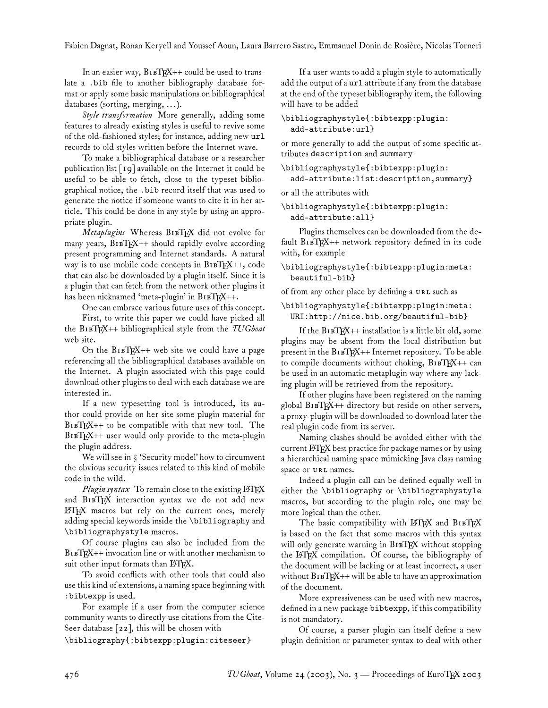Fabien Dagnat, Ronan Keryell and Youssef Aoun, Laura Barrero Sastre, Emmanuel Donin de Rosière, Nicolas Torneri

In an easier way,  $B1BTRX++$  could be used to translate a .bib file to another bibliography database format or apply some basic manipulations on bibliographical databases (sorting, merging, ... ).

*Style transformation* More generally, adding some features to already existing styles is useful to revive some of the old-fashioned styles; for instance, adding new url records to old styles written before the Internet wave.

To make a bibliographical database or a researcher publication list [19] available on the Internet it could be useful to be able to fetch, close to the typeset bibliographical notice, the .bib record itself that was used to generate the notice if someone wants to cite it in her article. This could be done in any style by using an appropriate plugin.

*Metaplugins* Whereas BIBTFX did not evolve for many years,  $B1BTRX++$  should rapidly evolve according present programming and Internet standards. A natural way is to use mobile code concepts in  $B1BTEX++$ , code that can also be downloaded by a plugin itself. Since it is a plugin that can fetch from the network other plugins it has been nicknamed 'meta-plugin' in  $B1BTRX++$ .

One can embrace various future uses of this concept.

First, to write this paper we could have picked all the BTEX++ bibliographical style from the *TUGboat* web site.

On the  $B1BTRX++$  web site we could have a page referencing all the bibliographical databases available on the Internet. A plugin associated with this page could download other plugins to deal with each database we are interested in.

If a new typesetting tool is introduced, its author could provide on her site some plugin material for  $BIBT<sub>F</sub>X++$  to be compatible with that new tool. The  $B1BTRX++$  user would only provide to the meta-plugin the plugin address.

We will see in § 'Security model' how to circumvent the obvious security issues related to this kind of mobile code in the wild.

*Plugin syntax* To remain close to the existing LATEX and BIBTEX interaction syntax we do not add new LATEX macros but rely on the current ones, merely adding special keywords inside the \bibliography and \bibliographystyle macros.

Of course plugins can also be included from the  $B1BTRX++$  invocation line or with another mechanism to suit other input formats than LATEX.

To avoid conflicts with other tools that could also use this kind of extensions, a naming space beginning with :bibtexpp is used.

For example if a user from the computer science community wants to directly use citations from the Cite-Seer database [22], this will be chosen with

\bibliography{:bibtexpp:plugin:citeseer}

If a user wants to add a plugin style to automatically add the output of a url attribute if any from the database at the end of the typeset bibliography item, the following will have to be added

#### \bibliographystyle{:bibtexpp:plugin: add-attribute:url}

or more generally to add the output of some specific attributes description and summary

\bibliographystyle{:bibtexpp:plugin: add-attribute:list:description,summary}

or all the attributes with

\bibliographystyle{:bibtexpp:plugin: add-attribute:all}

Plugins themselves can be downloaded from the de $fault B1BTRX++$  network repository defined in its code with, for example

### \bibliographystyle{:bibtexpp:plugin:meta: beautiful-bib}

of from any other place by defining a URL such as

### \bibliographystyle{:bibtexpp:plugin:meta: URI:http://nice.bib.org/beautiful-bib}

If the  $B1BTRX++$  installation is a little bit old, some plugins may be absent from the local distribution but present in the  $B1BT_{E}X++$  Internet repository. To be able to compile documents without choking,  $B1BTRX++$  can be used in an automatic metaplugin way where any lacking plugin will be retrieved from the repository.

If other plugins have been registered on the naming global  $BrBFX++$  directory but reside on other servers, a proxy-plugin will be downloaded to download later the real plugin code from its server.

Naming clashes should be avoided either with the current LATEX best practice for package names or by using a hierarchical naming space mimicking Java class naming space or URL names.

Indeed a plugin call can be defined equally well in either the \bibliography or \bibliographystyle macros, but according to the plugin role, one may be more logical than the other.

The basic compatibility with LATEX and BIBTEX is based on the fact that some macros with this syntax will only generate warning in BIBTEX without stopping the LATEX compilation. Of course, the bibliography of the document will be lacking or at least incorrect, a user without  $B1BTRX++$  will be able to have an approximation of the document.

More expressiveness can be used with new macros, defined in a new package bibtexpp, if this compatibility is not mandatory.

Of course, a parser plugin can itself define a new plugin definition or parameter syntax to deal with other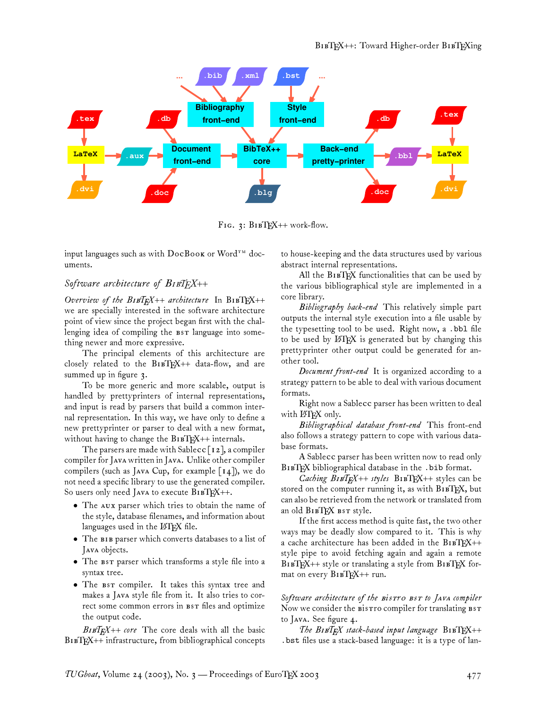

FIG.  $3:$  BIBTEX++ work-flow.

input languages such as with  $\bf{DocBook}$  or  $\bf{Word}^{TM}$  documents.

## *Software architecture of* B*TEX++*

*Overview of the BIBTEX++ architecture* In BIBTEX++ we are specially interested in the software architecture point of view since the project began first with the challenging idea of compiling the BST language into something newer and more expressive.

The principal elements of this architecture are closely related to the  $B1BTRX++$  data-flow, and are summed up in figure 3.

To be more generic and more scalable, output is handled by prettyprinters of internal representations, and input is read by parsers that build a common internal representation. In this way, we have only to define a new prettyprinter or parser to deal with a new format, without having to change the  $B1BT_{E}X++$  internals.

The parsers are made with Sablecc  $\lceil$  12], a compiler compiler for JAVA written in JAVA. Unlike other compiler compilers (such as JAVA Cup, for example  $\lceil 14 \rceil$ ), we do not need a specific library to use the generated compiler. So users only need JAVA to execute  $B1BTRX++$ .

- The AUX parser which tries to obtain the name of the style, database filenames, and information about languages used in the LATEX file.
- The BIB parser which converts databases to a list of Java objects.
- The parser which transforms a style file into a syntax tree.
- The BST compiler. It takes this syntax tree and makes a JAVA style file from it. It also tries to correct some common errors in BST files and optimize the output code.

 $B_{IB}T_{F}X_{++}$  core The core deals with all the basic BIBTEX++ infrastructure, from bibliographical concepts to house-keeping and the data structures used by various abstract internal representations.

All the  $B_1$   $B_1$  $B_2$  functionalities that can be used by the various bibliographical style are implemented in a core library.

*Bibliography back-end* This relatively simple part outputs the internal style execution into a file usable by the typesetting tool to be used. Right now, a .bbl file to be used by LATEX is generated but by changing this prettyprinter other output could be generated for another tool.

*Document front-end* It is organized according to a strategy pattern to be able to deal with various document formats.

Right now a Sablecc parser has been written to deal with LATEX only.

*Bibliographical database front-end* This front-end also follows a strategy pattern to cope with various database formats.

A Sablecc parser has been written now to read only BIBTEX bibliographical database in the . bib format.

*Caching BIBTEX++ styles* BIBTEX++ styles can be stored on the computer running it, as with  $B1BTEX$ , but can also be retrieved from the network or translated from an old BIBTEX BST style.

If the first access method is quite fast, the two other ways may be deadly slow compared to it. This is why a cache architecture has been added in the  $B1BTRX++$ style pipe to avoid fetching again and again a remote  $B1BTEX++$  style or translating a style from  $B1BTEX$  format on every  $B1BTEX++$  run.

Software architecture of the *Bistro BST* to JAVA compiler Now we consider the Bistro compiler for translating BST to Java. See figure 4.

 $The$   $B$ IBT<sub>E</sub>X stack-based input language  $B$ IBTEX++ .bst files use a stack-based language: it is a type of lan-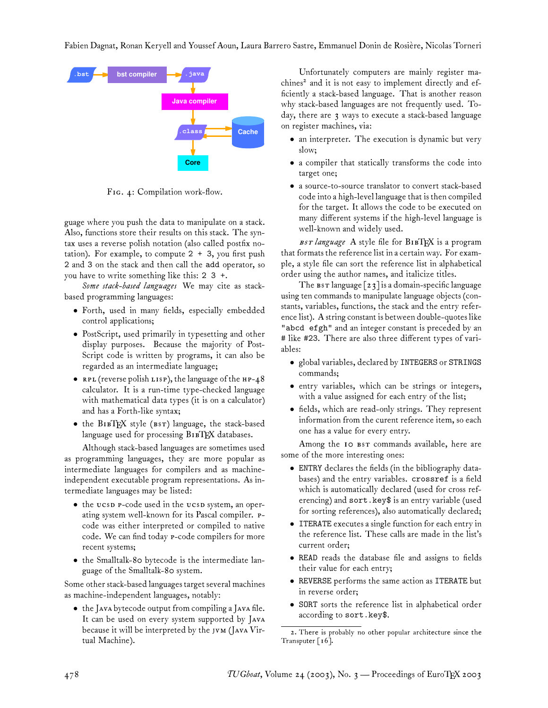

FIG. 4: Compilation work-flow.

guage where you push the data to manipulate on a stack. Also, functions store their results on this stack. The syntax uses a reverse polish notation (also called postfix notation). For example, to compute  $2 + 3$ , you first push 2 and 3 on the stack and then call the add operator, so you have to write something like this: 2 3 +.

*Some stack-based languages* We may cite as stackbased programming languages:

- Forth, used in many fields, especially embedded control applications;
- PostScript, used primarily in typesetting and other display purposes. Because the majority of Post-Script code is written by programs, it can also be regarded as an intermediate language;
- RPL (reverse polish LISP), the language of the  $HP-48$ calculator. It is a run-time type-checked language with mathematical data types (it is on a calculator) and has a Forth-like syntax;
- the  $B1BTRX$  style ( $BST$ ) language, the stack-based language used for processing BIBTEX databases.

Although stack-based languages are sometimes used as programming languages, they are more popular as intermediate languages for compilers and as machineindependent executable program representations. As intermediate languages may be listed:

- the ucsp p-code used in the ucsp system, an operating system well-known for its Pascal compiler. Pcode was either interpreted or compiled to native code. We can find today P-code compilers for more recent systems;
- the Smalltalk-80 bytecode is the intermediate language of the Smalltalk-80 system.

Some other stack-based languages target several machines as machine-independent languages, notably:

• the Java bytecode output from compiling a Java file. It can be used on every system supported by J because it will be interpreted by the  $JVM$  (Java Virtual Machine).

Unfortunately computers are mainly register machines<sup>2</sup> and it is not easy to implement directly and efficiently a stack-based language. That is another reason why stack-based languages are not frequently used. Today, there are 3 ways to execute a stack-based language on register machines, via:

- an interpreter. The execution is dynamic but very slow;
- a compiler that statically transforms the code into target one;
- a source-to-source translator to convert stack-based code into a high-level language that is then compiled for the target. It allows the code to be executed on many different systems if the high-level language is well-known and widely used.

BST language A style file for BIBTFX is a program that formats the reference list in a certain way. For example, a style file can sort the reference list in alphabetical order using the author names, and italicize titles.

The  $\texttt{BST}$  language  $\lceil 23 \rceil$  is a domain-specific language using ten commands to manipulate language objects (constants, variables, functions, the stack and the entry reference list). A string constant is between double-quotes like "abcd efgh" and an integer constant is preceded by an # like #23. There are also three different types of variables:

- global variables, declared by INTEGERS or STRINGS commands;
- entry variables, which can be strings or integers, with a value assigned for each entry of the list;
- fields, which are read-only strings. They represent information from the curent reference item, so each one has a value for every entry.

Among the 10 BST commands available, here are some of the more interesting ones:

- ENTRY declares the fields (in the bibliography databases) and the entry variables. crossref is a field which is automatically declared (used for cross referencing) and sort.key\$ is an entry variable (used for sorting references), also automatically declared;
- ITERATE executes a single function for each entry in the reference list. These calls are made in the list's current order;
- READ reads the database file and assigns to fields their value for each entry;
- REVERSE performs the same action as ITERATE but in reverse order;
- SORT sorts the reference list in alphabetical order according to sort.key\$.

<sup>2.</sup> There is probably no other popular architecture since the Transputer  $\lceil 16 \rceil$ .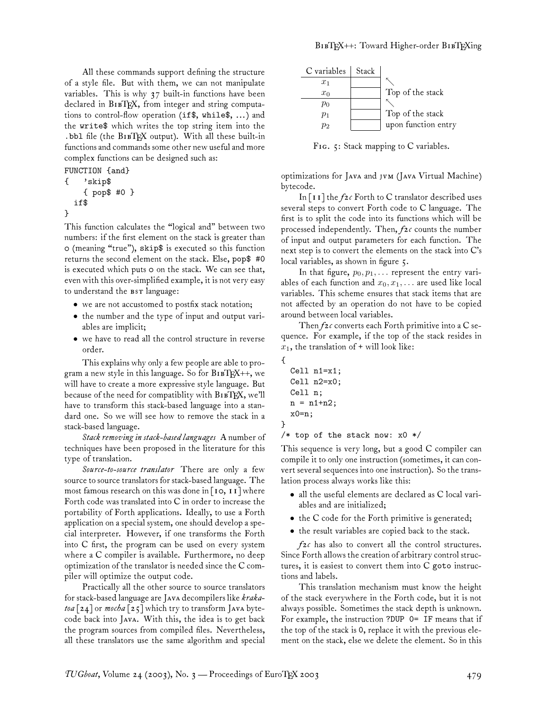All these commands support defining the structure of a style file. But with them, we can not manipulate variables. This is why 37 built-in functions have been declared in B1BTEX, from integer and string computations to control-flow operation (if\$, while\$, ... ) and the write\$ which writes the top string item into the .bbl file (the BIBTEX output). With all these built-in functions and commands some other new useful and more complex functions can be designed such as:

```
FUNCTION {and}
    { 'skip$
    { pop$ #0 }
  if$
}
```
This function calculates the "logical and" between two numbers: if the first element on the stack is greater than 0 (meaning "true"), skip\$ is executed so this function returns the second element on the stack. Else, pop\$ #0 is executed which puts 0 on the stack. We can see that, even with this over-simplified example, it is not very easy to understand the BST language:

- we are not accustomed to postfix stack notation;
- the number and the type of input and output variables are implicit;
- we have to read all the control structure in reverse order.

This explains why only a few people are able to program a new style in this language. So for  $B1BT_{E}X++$ , we will have to create a more expressive style language. But because of the need for compatiblity with BIBTEX, we'll have to transform this stack-based language into a standard one. So we will see how to remove the stack in a stack-based language.

*Stack removing in stack-based languages* A number of techniques have been proposed in the literature for this type of translation.

*Source-to-source translator* There are only a few source to source translators for stack-based language. The most famous research on this was done in  $\lceil$  10, 11] where Forth code was translated into C in order to increase the portability of Forth applications. Ideally, to use a Forth application on a special system, one should develop a special interpreter. However, if one transforms the Forth into C first, the program can be used on every system where a C compiler is available. Furthermore, no deep optimization of the translator is needed since the C compiler will optimize the output code.

Practically all the other source to source translators for stack-based language are JAvA decompilers like *kraka*toa [24] or mocha [25] which try to transform JAvA bytecode back into JAVA. With this, the idea is to get back the program sources from compiled files. Nevertheless, all these translators use the same algorithm and special



FIG. 5: Stack mapping to C variables.

optimizations for JAVA and JVM (JAVA Virtual Machine) bytecode.

In [11] the *f2c* Forth to C translator described uses several steps to convert Forth code to C language. The first is to split the code into its functions which will be processed independently. Then, *f2c* counts the number of input and output parameters for each function. The next step is to convert the elements on the stack into C's local variables, as shown in figure 5.

In that figure,  $p_0, p_1, \ldots$  represent the entry variables of each function and  $x_0, x_1, \ldots$  are used like local variables. This scheme ensures that stack items that are not affected by an operation do not have to be copied around between local variables.

Then *f2c* converts each Forth primitive into a C sequence. For example, if the top of the stack resides in  $x_1$ , the translation of + will look like:

```
Cell n1=x1;
Cell n2=x0;
Cell n;
n = n1+n2;x0=n;
```
{

}

```
/* top of the stack now: x0 */
```
This sequence is very long, but a good C compiler can compile it to only one instruction (sometimes, it can convert several sequences into one instruction). So the translation process always works like this:

- all the useful elements are declared as C local variables and are initialized;
- the C code for the Forth primitive is generated;
- the result variables are copied back to the stack.

*f2c* has also to convert all the control structures. Since Forth allows the creation of arbitrary control structures, it is easiest to convert them into C goto instructions and labels.

This translation mechanism must know the height of the stack everywhere in the Forth code, but it is not always possible. Sometimes the stack depth is unknown. For example, the instruction ?DUP 0= IF means that if the top of the stack is 0, replace it with the previous element on the stack, else we delete the element. So in this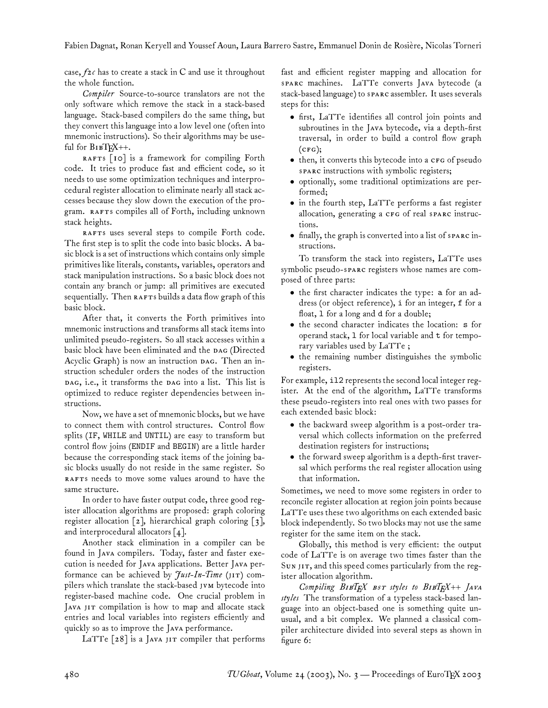case, *f2c* has to create a stack in C and use it throughout the whole function.

*Compiler* Source-to-source translators are not the only software which remove the stack in a stack-based language. Stack-based compilers do the same thing, but they convert this language into a low level one (often into mnemonic instructions). So their algorithms may be useful for  $B1BT_{E}X++$ .

RAFTS [10] is a framework for compiling Forth code. It tries to produce fast and efficient code, so it needs to use some optimization techniques and interprocedural register allocation to eliminate nearly all stack accesses because they slow down the execution of the program. RAFTS compiles all of Forth, including unknown stack heights.

RAFTS uses several steps to compile Forth code. The first step is to split the code into basic blocks. A basic block is a set of instructions which contains only simple primitives like literals, constants, variables, operators and stack manipulation instructions. So a basic block does not contain any branch or jump: all primitives are executed sequentially. Then RAFTs builds a data flow graph of this basic block.

After that, it converts the Forth primitives into mnemonic instructions and transforms all stack items into unlimited pseudo-registers. So all stack accesses within a basic block have been eliminated and the DAG (Directed Acyclic Graph) is now an instruction DAG. Then an instruction scheduler orders the nodes of the instruction DAG, i.e., it transforms the DAG into a list. This list is optimized to reduce register dependencies between instructions.

Now, we have a set of mnemonic blocks, but we have to connect them with control structures. Control flow splits (IF, WHILE and UNTIL) are easy to transform but control flow joins (ENDIF and BEGIN) are a little harder because the corresponding stack items of the joining basic blocks usually do not reside in the same register. So RAFTS needs to move some values around to have the same structure.

In order to have faster output code, three good register allocation algorithms are proposed: graph coloring register allocation [2], hierarchical graph coloring [3], and interprocedural allocators [4].

Another stack elimination in a compiler can be found in JAVA compilers. Today, faster and faster execution is needed for JAVA applications. Better JAVA performance can be achieved by *Just-In-Time* (JIT) compilers which translate the stack-based JVM bytecode into register-based machine code. One crucial problem in JAVA JIT compilation is how to map and allocate stack entries and local variables into registers efficiently and quickly so as to improve the JAVA performance.

LaTTe  $\lceil 28 \rceil$  is a JAVA JIT compiler that performs

fast and efficient register mapping and allocation for sparc machines. LaTTe converts Java bytecode (a stack-based language) to sparc assembler. It uses severals steps for this:

- first, LaTTe identifies all control join points and subroutines in the JAVA bytecode, via a depth-first traversal, in order to build a control flow graph  $(CFG);$
- then, it converts this bytecode into a CFG of pseudo spare instructions with symbolic registers;
- optionally, some traditional optimizations are performed;
- in the fourth step, LaTTe performs a fast register allocation, generating a CFG of real sparc instructions.
- finally, the graph is converted into a list of sparc instructions.

To transform the stack into registers, LaTTe uses symbolic pseudo-sparc registers whose names are composed of three parts:

- the first character indicates the type: a for an address (or object reference), i for an integer, f for a float, l for a long and d for a double;
- the second character indicates the location: s for operand stack, l for local variable and t for temporary variables used by LaTTe ;
- the remaining number distinguishes the symbolic registers.

For example, il2 represents the second local integer register. At the end of the algorithm, LaTTe transforms these pseudo-registers into real ones with two passes for each extended basic block:

- the backward sweep algorithm is a post-order traversal which collects information on the preferred destination registers for instructions;
- the forward sweep algorithm is a depth-first traversal which performs the real register allocation using that information.

Sometimes, we need to move some registers in order to reconcile register allocation at region join points because LaTTe uses these two algorithms on each extended basic block independently. So two blocks may not use the same register for the same item on the stack.

Globally, this method is very efficient: the output code of LaTTe is on average two times faster than the SUN JIT, and this speed comes particularly from the register allocation algorithm.

*Compiling* B*TEX styles to* B*TEX++* J *styles* The transformation of a typeless stack-based language into an object-based one is something quite unusual, and a bit complex. We planned a classical compiler architecture divided into several steps as shown in figure 6: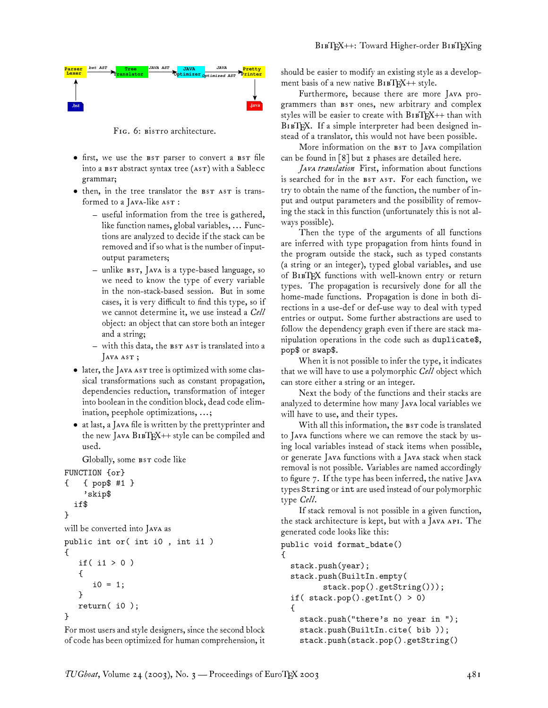

FIG. 6: Bistro architecture.

- first, we use the BST parser to convert a BST file into a BST abstract syntax tree (AST) with a Sablecc grammar;
- then, in the tree translator the BST AST is transformed to a JAVA-like AST :
	- useful information from the tree is gathered, like function names, global variables, ... Functions are analyzed to decide if the stack can be removed and if so what is the number of inputoutput parameters;
	- unlike BST, JAVA is a type-based language, so we need to know the type of every variable in the non-stack-based session. But in some cases, it is very difficult to find this type, so if we cannot determine it, we use instead a *Cell* object: an object that can store both an integer and a string;
	- $-$  with this data, the  $BSTAST$  is translated into a  $\sqrt{\text{AVA AST}}$
- later, the JAVA AST tree is optimized with some classical transformations such as constant propagation, dependencies reduction, transformation of integer into boolean in the condition block, dead code elimination, peephole optimizations, ...;
- at last, a JAVA file is written by the prettyprinter and the new JAVA  $B1BT_{X++}$  style can be compiled and used.

Globally, some BST code like

```
FUNCTION {or}
```

```
{ { pop$ #1 }
    'skip$
  if$
}
will be converted into JAVA as
public int or( int i0 , int i1 )
{
   if( i1 > 0 )
   {
       i0 = 1;}
   return( i0 );
}
```
For most users and style designers, since the second block of code has been optimized for human comprehension, it should be easier to modify an existing style as a development basis of a new native  $B1BT_{E}X++$  style.

Furthermore, because there are more JAVA programmers than BST ones, new arbitrary and complex styles will be easier to create with  $B1BTRX++$  than with BIBTEX. If a simple interpreter had been designed instead of a translator, this would not have been possible.

More information on the BST to JAVA compilation can be found in [8] but 2 phases are detailed here.

Java translation First, information about functions is searched for in the BST AST. For each function, we try to obtain the name of the function, the number of input and output parameters and the possibility of removing the stack in this function (unfortunately this is not always possible).

Then the type of the arguments of all functions are inferred with type propagation from hints found in the program outside the stack, such as typed constants (a string or an integer), typed global variables, and use of BIBTEX functions with well-known entry or return types. The propagation is recursively done for all the home-made functions. Propagation is done in both directions in a use-def or def-use way to deal with typed entries or output. Some further abstractions are used to follow the dependency graph even if there are stack manipulation operations in the code such as duplicate\$, pop\$ or swap\$.

When it is not possible to infer the type, it indicates that we will have to use a polymorphic *Cell* object which can store either a string or an integer.

Next the body of the functions and their stacks are analyzed to determine how many Java local variables we will have to use, and their types.

With all this information, the BST code is translated to Java functions where we can remove the stack by using local variables instead of stack items when possible, or generate JAVA functions with a JAVA stack when stack removal is not possible. Variables are named accordingly to figure 7. If the type has been inferred, the native J types String or int are used instead of our polymorphic type *Cell*.

If stack removal is not possible in a given function, the stack architecture is kept, but with a JAVA API. The generated code looks like this:

```
public void format_bdate()
{
  stack.push(year);
  stack.push(BuiltIn.empty(
         stack.pop().getString()));
  if( stack.pop().getInt() > 0)
  {
    stack.push("there's no year in ");
    stack.push(BuiltIn.cite( bib ));
    stack.push(stack.pop().getString()
```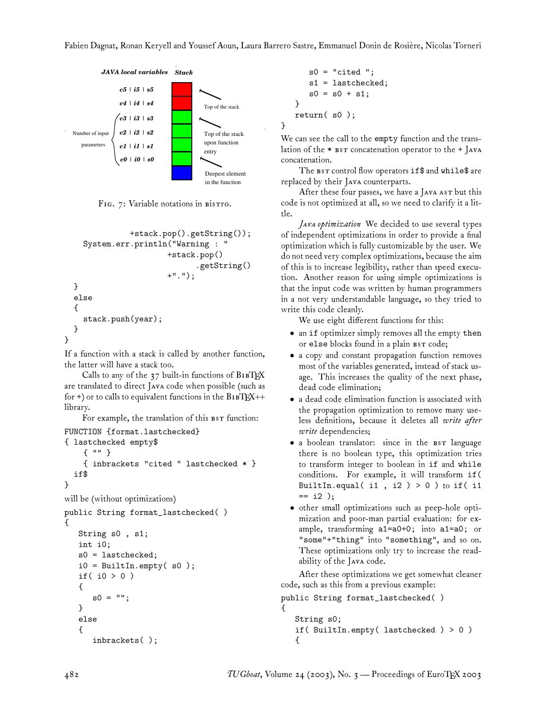}



FIG. 7: Variable notations in Bistro.

```
+stack.pop().getString());
    System.err.println("Warning : "
                       +stack.pop()
                              .getString()
                       +".");
  }
  else
  {
    stack.push(year);
  }
}
```
If a function with a stack is called by another function, the latter will have a stack too.

Calls to any of the  $37$  built-in functions of  $B1BTEX$ are translated to direct JAVA code when possible (such as for +) or to calls to equivalent functions in the  $B1BT_{E}X++$ library.

For example, the translation of this BST function:

```
FUNCTION {format.lastchecked}
{ lastchecked empty$
    { "" }
    { inbrackets "cited " lastchecked * }
  if$
}
will be (without optimizations)
public String format_lastchecked( )
\mathbf{f}String s0 , s1;
   int i0;
   s0 = lastchecked;
   i0 = BuiltIn.empty(s0);
   if( i0 > 0 )
   {
      s0 = "";
   }
   else
   {
      inbrackets( );
```

```
s0 = "cited";
   s1 = lastchecked;
   s0 = s0 + s1;}
return( s0 );
```
We can see the call to the empty function and the translation of the  $*$   $\texttt{BST}$  concatenation operator to the  $+$  JAVA concatenation.

The BST control flow operators if \$ and while\$ are replaced by their Java counterparts.

After these four passes, we have a Java as  $\mathbf r$  but this code is not optimized at all, so we need to clarify it a little.

*JAVA optimization* We decided to use several types of independent optimizations in order to provide a final optimization which is fully customizable by the user. We do not need very complex optimizations, because the aim of this is to increase legibility, rather than speed execution. Another reason for using simple optimizations is that the input code was written by human programmers in a not very understandable language, so they tried to write this code cleanly.

We use eight different functions for this:

- an if optimizer simply removes all the empty then or else blocks found in a plain BST code;
- a copy and constant propagation function removes most of the variables generated, instead of stack usage. This increases the quality of the next phase, dead code elimination;
- a dead code elimination function is associated with the propagation optimization to remove many useless definitions, because it deletes all *write after write* dependencies;
- a boolean translator: since in the BST language there is no boolean type, this optimization tries to transform integer to boolean in if and while conditions. For example, it will transform if( BuiltIn.equal( $i1$ ,  $i2$ ) > 0) to if( $i1$ == i2 );
- other small optimizations such as peep-hole optimization and poor-man partial evaluation: for example, transforming a1=a0+0; into a1=a0; or "some"+"thing" into "something", and so on. These optimizations only try to increase the readability of the JAVA code.

After these optimizations we get somewhat cleaner code, such as this from a previous example:

```
public String format_lastchecked( )
{
   String s0;
   if( BuiltIn.empty( lastchecked ) > 0 )
   {
```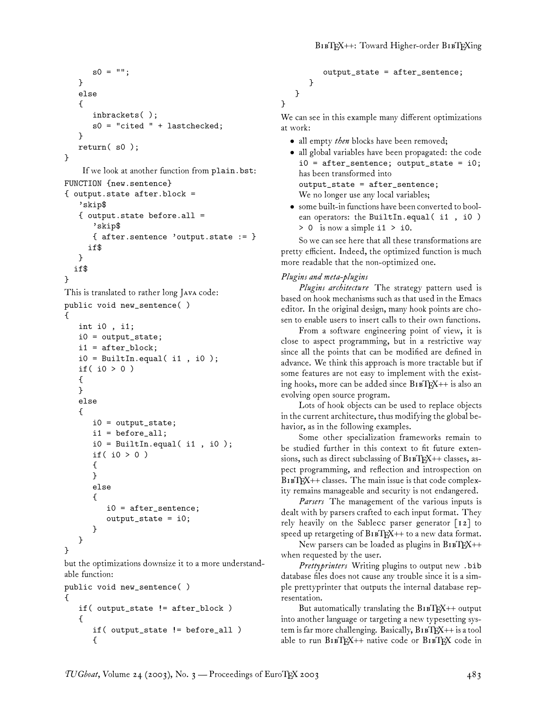```
s0 = "";
}
else
{
   inbrackets( );
   s0 = "cited " + lastchecked;
}
return( s0 );
```

```
}
```
If we look at another function from plain.bst:

```
FUNCTION {new.sentence}
{ output.state after.block =
   'skip$
   { output.state before.all =
      'skip$
      { after.sentence 'output.state := }
     if$
   }
  if$
}
This is translated to rather long JAVA code:
public void new_sentence( )
{
   int i0 , i1;
   i0 = output_state;
   i1 = after_block;
   i0 = BuiltIn.equal(i1, i0);
   if( i0 > 0 )
   {
   }
   else
   {
      i0 = output_state;
      i1 = before_all;
      i0 = BuiltIn.equal( i1, i0);
      if( i0 > 0 )
      {
      }
      else
      {
         i0 = after_sentence;
         output_state = i0;
      }
   }
```
}

but the optimizations downsize it to a more understandable function:

```
public void new_sentence( )
{
   if( output_state != after_block )
   {
      if( output_state != before_all )
      {
```

```
output_state = after_sentence;
   }
}
```
We can see in this example many different optimizations at work:

- all empty *then* blocks have been removed;
- all global variables have been propagated: the code i0 = after\_sentence; output\_state = i0; has been transformed into output\_state = after\_sentence; We no longer use any local variables;
- some built-in functions have been converted to boolean operators: the BuiltIn.equal( i1, i0) > 0 is now a simple i1 > i0.

So we can see here that all these transformations are pretty efficient. Indeed, the optimized function is much more readable that the non-optimized one.

### *Plugins and meta-plugins*

}

*Plugins architecture* The strategy pattern used is based on hook mechanisms such as that used in the Emacs editor. In the original design, many hook points are chosen to enable users to insert calls to their own functions.

From a software engineering point of view, it is close to aspect programming, but in a restrictive way since all the points that can be modified are defined in advance. We think this approach is more tractable but if some features are not easy to implement with the existing hooks, more can be added since  $B1BTRX++$  is also an evolving open source program.

Lots of hook objects can be used to replace objects in the current architecture, thus modifying the global behavior, as in the following examples.

Some other specialization frameworks remain to be studied further in this context to fit future extensions, such as direct subclassing of  $B1BTRX++$  classes, aspect programming, and reflection and introspection on BIBTEX++ classes. The main issue is that code complexity remains manageable and security is not endangered.

*Parsers* The management of the various inputs is dealt with by parsers crafted to each input format. They rely heavily on the Sablecc parser generator  $\lceil 12 \rceil$  to speed up retargeting of  $B1BT_{E}X++$  to a new data format.

New parsers can be loaded as plugins in  $B1BTRX++$ when requested by the user.

*Prettyprinters* Writing plugins to output new .bib database files does not cause any trouble since it is a simple prettyprinter that outputs the internal database representation.

But automatically translating the  $B1BT_{E}X++$  output into another language or targeting a new typesetting system is far more challenging. Basically,  $B1BT_{\rm E}X++$  is a tool able to run BIBTEX++ native code or BIBTEX code in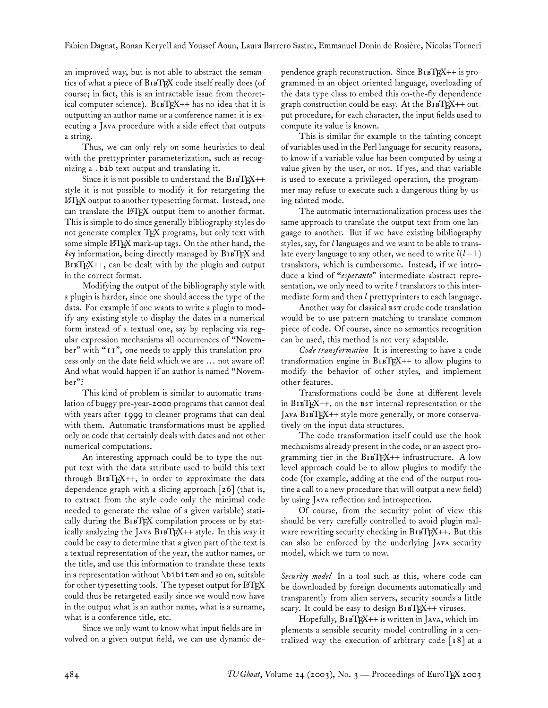an improved way, but is not able to abstract the semantics of what a piece of BIBTEX code itself really does (of course; in fact, this is an intractable issue from theoretical computer science).  $B1BTRX++$  has no idea that it is outputting an author name or a conference name: it is executing a JAVA procedure with a side effect that outputs a string.

Thus, we can only rely on some heuristics to deal with the prettyprinter parameterization, such as recognizing a .bib text output and translating it.

Since it is not possible to understand the  $B1BTRX++$ style it is not possible to modify it for retargeting the LATEX output to another typesetting format. Instead, one can translate the LATEX output item to another format. This is simple to do since generally bibliography styles do not generate complex TFX programs, but only text with some simple LATEX mark-up tags. On the other hand, the *key* information, being directly managed by BIBTEX and BIBTEX++, can be dealt with by the plugin and output in the correct format.

Modifying the output of the bibliography style with a plugin is harder, since one should access the type of the data. For example if one wants to write a plugin to modify any existing style to display the dates in a numerical form instead of a textual one, say by replacing via regular expression mechanisms all occurrences of "November" with "11", one needs to apply this translation process only on the date field which we are ... not aware of! And what would happen if an author is named "November"?

This kind of problem is similar to automatic translation of buggy pre-year-2000 programs that cannot deal with years after 1999 to cleaner programs that can deal with them. Automatic transformations must be applied only on code that certainly deals with dates and not other numerical computations.

An interesting approach could be to type the output text with the data attribute used to build this text through  $B1BTRX++$ , in order to approximate the data dependence graph with a slicing approach  $\lceil 26 \rceil$  (that is, to extract from the style code only the minimal code needed to generate the value of a given variable) statically during the  $B1BY$  compilation process or by statically analyzing the JAVA  $B1BTEX++$  style. In this way it could be easy to determine that a given part of the text is a textual representation of the year, the author names, or the title, and use this information to translate these texts in a representation without \bibitem and so on, suitable for other typesetting tools. The typeset output for LATEX could thus be retargeted easily since we would now have in the output what is an author name, what is a surname, what is a conference title, etc.

Since we only want to know what input fields are involved on a given output field, we can use dynamic dependence graph reconstruction. Since  $B1BTRX++$  is programmed in an object oriented language, overloading of the data type class to embed this on-the-fly dependence graph construction could be easy. At the  $B1BT\beta X++$  output procedure, for each character, the input fields used to compute its value is known.

This is similar for example to the tainting concept of variables used in the Perl language for security reasons, to know if a variable value has been computed by using a value given by the user, or not. If yes, and that variable is used to execute a privileged operation, the programmer may refuse to execute such a dangerous thing by using tainted mode.

The automatic internationalization process uses the same approach to translate the output text from one language to another. But if we have existing bibliography styles, say, for  $l$  languages and we want to be able to translate every language to any other, we need to write  $l(l-1)$ translators, which is cumbersome. Instead, if we introduce a kind of "*esperanto*" intermediate abstract representation, we only need to write  $l$  translators to this intermediate form and then  $l$  prettyprinters to each language.

Another way for classical BST crude code translation would be to use pattern matching to translate common piece of code. Of course, since no semantics recognition can be used, this method is not very adaptable.

*Code transformation* It is interesting to have a code transformation engine in  $B1BTRX++$  to allow plugins to modify the behavior of other styles, and implement other features.

Transformations could be done at different levels in  $B1BTRX++$ , on the  $B1BTRX++$  $J$ AVA  $B$ IBTEX++ style more generally, or more conservatively on the input data structures.

The code transformation itself could use the hook mechanisms already present in the code, or an aspect programming tier in the  $B1BTRX++$  infrastructure. A low level approach could be to allow plugins to modify the code (for example, adding at the end of the output routine a call to a new procedure that will output a new field) by using Java reflection and introspection.

Of course, from the security point of view this should be very carefully controlled to avoid plugin malware rewriting security checking in  $B1BTRX++$ . But this can also be enforced by the underlying JAVA security model, which we turn to now.

*Security model* In a tool such as this, where code can be downloaded by foreign documents automatically and transparently from alien servers, security sounds a little scary. It could be easy to design  $B1BT_{E}X++$  viruses.

Hopefully, B1BTEX++ is written in JAVA, which implements a sensible security model controlling in a centralized way the execution of arbitrary code [18] at a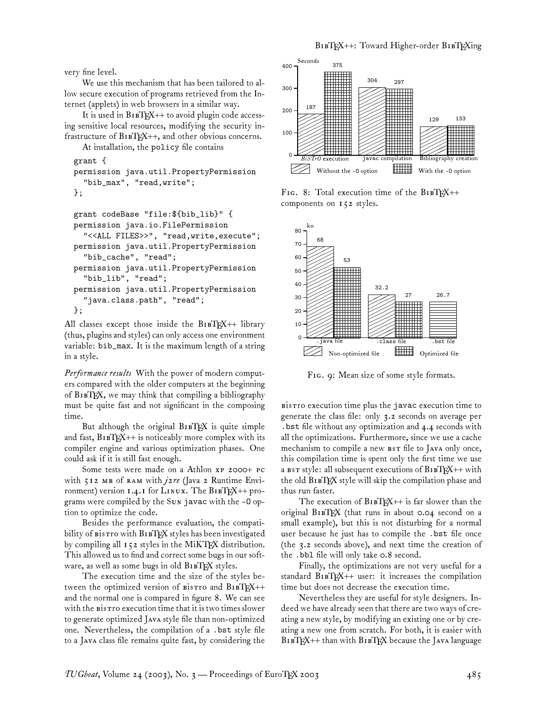very fine level.

We use this mechanism that has been tailored to allow secure execution of programs retrieved from the Internet (applets) in web browsers in a similar way.

It is used in  $B1BTRX++$  to avoid plugin code accessing sensitive local resources, modifying the security infrastructure of  $B1BT_{F}X++$ , and other obvious concerns.

```
At installation, the policy file contains
```

```
grant {
```

```
permission java.util.PropertyPermission
  "bib_max", "read,write";
```

```
};
```

```
grant codeBase "file:${bib_lib}" {
permission java.io.FilePermission
  "<<ALL FILES>>", "read,write,execute";
permission java.util.PropertyPermission
  "bib_cache", "read";
permission java.util.PropertyPermission
  "bib_lib", "read";
permission java.util.PropertyPermission
  "java.class.path", "read";
};
```
All classes except those inside the  $B1BTEX++$  library (thus, plugins and styles) can only access one environment variable: bib\_max. It is the maximum length of a string in a style.

*Performance results* With the power of modern computers compared with the older computers at the beginning of BTEX, we may think that compiling a bibliography must be quite fast and not significant in the composing time.

But although the original  $B \r{1}E X$  is quite simple and fast,  $B1BTRX++$  is noticeably more complex with its compiler engine and various optimization phases. One could ask if it is still fast enough.

Some tests were made on a Athlon xP 2000+ PC with 512 MB of RAM with *jare* (Java 2 Runtime Environment) version  $1.4.1$  for LINUX. The BIBTEX++ programs were compiled by the Sun javac with the -0 option to optimize the code.

Besides the performance evaluation, the compatibility of  $\texttt{bistr}$  with  $\texttt{BisT}$  styles has been investigated by compiling all 152 styles in the MiKTFX distribution. This allowed us to find and correct some bugs in our software, as well as some bugs in old BIBTEX styles.

The execution time and the size of the styles between the optimized version of  $\text{Bis}$  and  $\text{Bis}$ TEX++ and the normal one is compared in figure 8. We can see with the **Bistro** execution time that it is two times slower to generate optimized Java style file than non-optimized one. Nevertheless, the compilation of a .bst style file to a Java class file remains quite fast, by considering the



FIG. 8: Total execution time of the BIBTEX++ components on 152 styles.



FIG. 9: Mean size of some style formats.

BisTro execution time plus the javac execution time to generate the class file: only 3.2 seconds on average per .bst file without any optimization and 4.4 seconds with all the optimizations. Furthermore, since we use a cache mechanism to compile a new BST file to JAVA only once, this compilation time is spent only the first time we use a  $s$ r style: all subsequent executions of  $B_1$  $E_1K$ ++ with the old BIBTEX style will skip the compilation phase and thus run faster.

The execution of  $B1BT_{E}X++$  is far slower than the original  $B$ IBTEX (that runs in about 0.04 second on a small example), but this is not disturbing for a normal user because he just has to compile the .bst file once (the 3.2 seconds above), and next time the creation of the .bbl file will only take 0.8 second.

Finally, the optimizations are not very useful for a standard  $B1BTRX++$  user: it increases the compilation time but does not decrease the execution time.

Nevertheless they are useful for style designers. Indeed we have already seen that there are two ways of creating a new style, by modifying an existing one or by creating a new one from scratch. For both, it is easier with BIBTEX++ than with BIBTEX because the JAVA language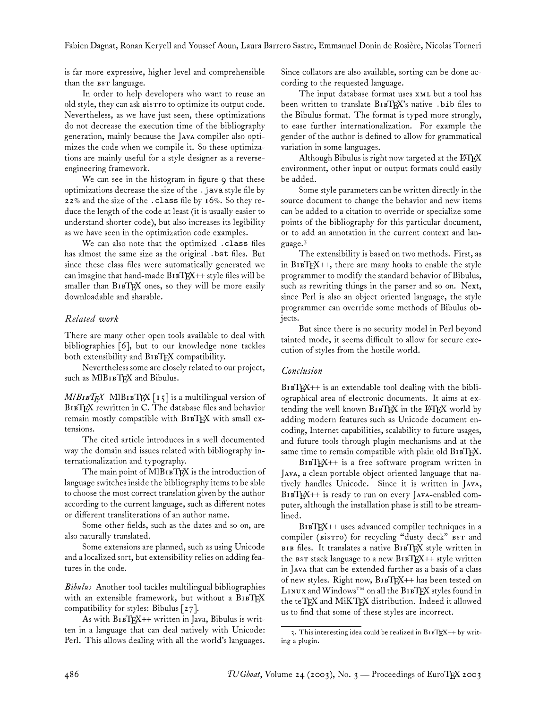is far more expressive, higher level and comprehensible than the BST language.

In order to help developers who want to reuse an old style, they can ask **Bistro** to optimize its output code. Nevertheless, as we have just seen, these optimizations do not decrease the execution time of the bibliography generation, mainly because the JAVA compiler also optimizes the code when we compile it. So these optimizations are mainly useful for a style designer as a reverseengineering framework.

We can see in the histogram in figure 9 that these optimizations decrease the size of the .java style file by 22% and the size of the .class file by 16%. So they reduce the length of the code at least (it is usually easier to understand shorter code), but also increases its legibility as we have seen in the optimization code examples.

We can also note that the optimized .class files has almost the same size as the original .bst files. But since these class files were automatically generated we can imagine that hand-made  $B1BT_{F}X++$  style files will be smaller than B1BTEX ones, so they will be more easily downloadable and sharable.

### *Related work*

There are many other open tools available to deal with bibliographies [6], but to our knowledge none tackles both extensibility and BIBTEX compatibility.

Nevertheless some are closely related to our project, such as MIBIBTEX and Bibulus.

 $M/B$ *IB*<sup>T</sup> $EX$  MlB<sub>IB</sub>T<sub>E</sub>X<sub>[15]</sub> is a multilingual version of BIBTEX rewritten in C. The database files and behavior remain mostly compatible with B1BTEX with small extensions.

The cited article introduces in a well documented way the domain and issues related with bibliography internationalization and typography.

The main point of MIBIBTEX is the introduction of language switches inside the bibliography items to be able to choose the most correct translation given by the author according to the current language, such as different notes or different transliterations of an author name.

Some other fields, such as the dates and so on, are also naturally translated.

Some extensions are planned, such as using Unicode and a localized sort, but extensibility relies on adding features in the code.

*Bibulus* Another tool tackles multilingual bibliographies with an extensible framework, but without a  $B1BYK$ compatibility for styles: Bibulus [27].

As with B1BTEX++ written in Java, Bibulus is written in a language that can deal natively with Unicode: Perl. This allows dealing with all the world's languages.

Since collators are also available, sorting can be done according to the requested language.

The input database format uses  $x \sim u$  but a tool has been written to translate  $B1BTK$ 's native . bib files to the Bibulus format. The format is typed more strongly, to ease further internationalization. For example the gender of the author is defined to allow for grammatical variation in some languages.

Although Bibulus is right now targeted at the LATEX environment, other input or output formats could easily be added.

Some style parameters can be written directly in the source document to change the behavior and new items can be added to a citation to override or specialize some points of the bibliography for this particular document, or to add an annotation in the current context and language.<sup>3</sup>

The extensibility is based on two methods. First, as in  $B1BTEX++$ , there are many hooks to enable the style programmer to modify the standard behavior of Bibulus, such as rewriting things in the parser and so on. Next, since Perl is also an object oriented language, the style programmer can override some methods of Bibulus objects.

But since there is no security model in Perl beyond tainted mode, it seems difficult to allow for secure execution of styles from the hostile world.

#### *Conclusion*

BIBTEX++ is an extendable tool dealing with the bibliographical area of electronic documents. It aims at extending the well known BIBTEX in the LATEX world by adding modern features such as Unicode document encoding, Internet capabilities, scalability to future usages, and future tools through plugin mechanisms and at the same time to remain compatible with plain old  $B$ 1 $B$ TEX.

BTEX++ is a free software program written in Java, a clean portable object oriented language that natively handles Unicode. Since it is written in JAVA,  $BIBTEX++$  is ready to run on every JAVA-enabled computer, although the installation phase is still to be streamlined.

BTEX++ uses advanced compiler techniques in a compiler (Bistro) for recycling "dusty deck" BST and  $BIB$  files. It translates a native  $BIBT$ <sub>F</sub>X style written in the  $\texttt{bsr}$  stack language to a new  $\texttt{BiBTRX++}$  style written in Java that can be extended further as a basis of a class of new styles. Right now, BIBTEX++ has been tested on  $L$ INUX and Windows<sup>TM</sup> on all the BIBTEX styles found in the teTFX and MiKTFX distribution. Indeed it allowed us to find that some of these styles are incorrect.

<sup>3.</sup> This interesting idea could be realized in  $B1BTEX++$  by writing a plugin.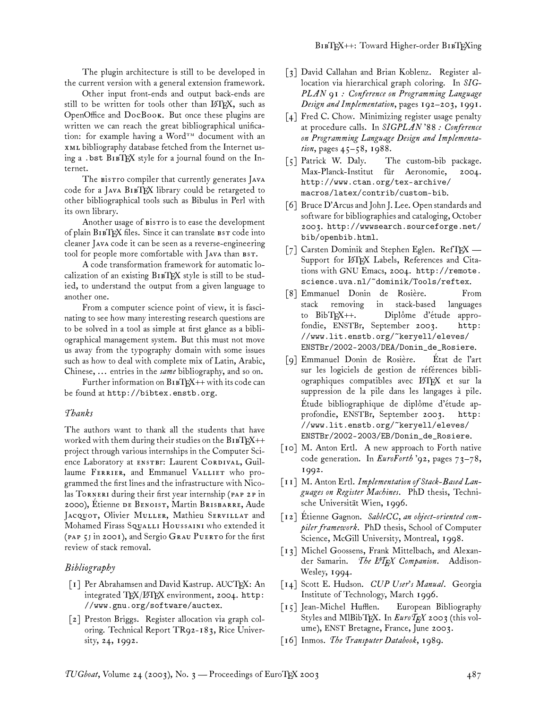The plugin architecture is still to be developed in the current version with a general extension framework.

Other input front-ends and output back-ends are still to be written for tools other than LATEX, such as OpenOffice and  $DocBook$ . But once these plugins are written we can reach the great bibliographical unification: for example having a Word<sup>TM</sup> document with an bibliography database fetched from the Internet using a . bst  $B \times Y$  style for a journal found on the Internet.

The Bistro compiler that currently generates JAVA code for a JAVA  $B$ IBTEX library could be retargeted to other bibliographical tools such as Bibulus in Perl with its own library.

Another usage of Bistro is to ease the development of plain  $B$ IBTEX files. Since it can translate  $B$ s $T$  code into cleaner JAVA code it can be seen as a reverse-engineering tool for people more comfortable with JAVA than BST.

A code transformation framework for automatic localization of an existing  $B1BTFX$  style is still to be studied, to understand the output from a given language to another one.

From a computer science point of view, it is fascinating to see how many interesting research questions are to be solved in a tool as simple at first glance as a bibliographical management system. But this must not move us away from the typography domain with some issues such as how to deal with complete mix of Latin, Arabic, Chinese, ... entries in the *same* bibliography, and so on.

Further information on  $B1BT_FX++$  with its code can be found at http://bibtex.enstb.org.

#### *Thanks*

The authors want to thank all the students that have worked with them during their studies on the  $B1BTRX++$ project through various internships in the Computer Science Laboratory at ENSTBI: Laurent CORDIVAL, Guillaume FERRIER, and Emmanuel VALLIET who programmed the first lines and the infrastructure with Nicolas TORNERI during their first year internship (PAP 2P in 2000), Etienne DE BENOIST, Martin BRISBARRE, Aude JACQUOT, Olivier MULLER, Mathieu SERVILLAT and Mohamed Firass SQUALLI HOUSSAINI who extended it ( $PAP$ ,  $5$  in 2001), and Sergio GRAU PUERTO for the first review of stack removal.

#### *Bibliography*

- [1] Per Abrahamsen and David Kastrup. AUCTEX: An integrated TEX/LHEX environment, 2004. http: //www.gnu.org/software/auctex.
- [2] Preston Briggs. Register allocation via graph coloring. Technical Report TR92-183, Rice University, 24, 1992.
- [3] David Callahan and Brian Koblenz. Register allocation via hierarchical graph coloring. In *SIG-PLAN 91 : Conference on Programming Language Design and Implementation*, pages 192–203, 1991.
- [4] Fred C. Chow. Minimizing register usage penalty at procedure calls. In *SIGPLAN '88 : Conference on Programming Language Design and Implementation*, pages 45–58, 1988.
- [5] Patrick W. Daly. The custom-bib package. Max-Planck-Institut für Aeronomie, 2004. http://www.ctan.org/tex-archive/ macros/latex/contrib/custom-bib.
- [6] Bruce D'Arcus and John J. Lee. Open standards and software for bibliographies and cataloging, October 2003. http://wwwsearch.sourceforge.net/ bib/openbib.html.
- [7] Carsten Dominik and Stephen Eglen. RefTFX Support for IATEX Labels, References and Citations with GNU Emacs, 2004. http://remote. science.uva.nl/~dominik/Tools/reftex.
- [8] Emmanuel Donin de Rosière. From stack removing in stack-based languages to BibTEX++. Diplôme d'étude approfondie, ENSTBr, September 2003. //www.lit.enstb.org/~keryell/eleves/ ENSTBr/2002-2003/DEA/Donin\_de\_Rosiere.
- [9] Emmanuel Donin de Rosière. État de l'art sur les logiciels de gestion de références bibliographiques compatibles avec LATEX et sur la suppression de la pile dans les langages à pile. Étude bibliographique de diplôme d'étude approfondie, ENSTBr, September 2003. http: //www.lit.enstb.org/~keryell/eleves/ ENSTBr/2002-2003/EB/Donin\_de\_Rosiere.
- [10] M. Anton Ertl. A new approach to Forth native code generation. In *EuroForth '92*, pages 73–78, 1992.
- [11] M. Anton Ertl. *Implementation of Stack-Based Languages on Register Machines*. PhD thesis, Technische Universität Wien, 1996.
- [12] Étienne Gagnon. *SableCC, an object-oriented compiler framework*. PhD thesis, School of Computer Science, McGill University, Montreal, 1998.
- [13] Michel Goossens, Frank Mittelbach, and Alexander Samarin. *The L<sup>A</sup>TEX Companion*. Addison-Wesley, 1994.
- [14] Scott E. Hudson. *CUP User's Manual*. Georgia Institute of Technology, March 1996.
- [15] Jean-Michel Hufflen. European Bibliography Styles and MIBibTFX. In  $\mathit{EuroT_FX}$  2003 (this volume), ENST Bretagne, France, June 2003.
- [16] Inmos. *The Transputer Databook*, 1989.